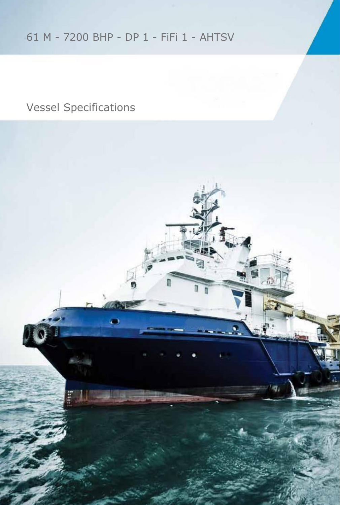## 61 M - 7200 BHP - DP 1 - FiFi 1 - AHTSV

## Vessel Specifications

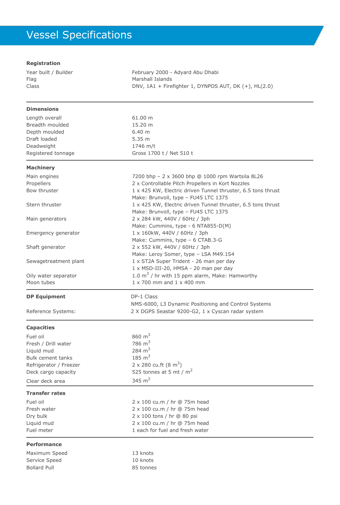# Vessel Specifications

| <b>Registration</b>                                                                                                                           |                                                                                                                                                                                                               |
|-----------------------------------------------------------------------------------------------------------------------------------------------|---------------------------------------------------------------------------------------------------------------------------------------------------------------------------------------------------------------|
| Year built / Builder<br>Flag<br>Class                                                                                                         | February 2000 - Adyard Abu Dhabi<br>Marshall Islands<br>DNV, 1A1 + Firefighter 1, DYNPOS AUT, DK (+), HL(2.0)                                                                                                 |
| <b>Dimensions</b>                                                                                                                             |                                                                                                                                                                                                               |
| Length overall<br>Breadth moulded<br>Depth moulded<br>Draft loaded<br>Deadweight<br>Registered tonnage                                        | 61.00 m<br>15.20 m<br>6.40 m<br>5.35 m<br>1746 m/t<br>Gross 1700 t / Net 510 t                                                                                                                                |
| <b>Machinery</b>                                                                                                                              |                                                                                                                                                                                                               |
| Main engines<br>Propellers<br>Bow thruster                                                                                                    | 7200 bhp - 2 x 3600 bhp @ 1000 rpm Wartsila 8L26<br>2 x Controllable Pitch Propellers in Kort Nozzles<br>1 x 425 KW, Electric driven Tunnel thruster, 6.5 tons thrust<br>Make: Brunvoll, type - FU45 LTC 1375 |
| Stern thruster                                                                                                                                | 1 x 425 KW, Electric driven Tunnel thruster, 6.5 tons thrust<br>Make: Brunvoll, type - FU45 LTC 1375                                                                                                          |
| Main generators<br>Emergency generator                                                                                                        | 2 x 284 kW, 440V / 60Hz / 3ph<br>Make: Cummins, type - 6 NTA855-D(M)<br>1 x 160kW, 440V / 60Hz / 3ph                                                                                                          |
| Shaft generator                                                                                                                               | Make: Cummins, type - 6 CTAB.3-G<br>2 x 552 kW, 440V / 60Hz / 3ph<br>Make: Leroy Somer, type - LSA M49.1S4                                                                                                    |
| Sewagetreatment plant                                                                                                                         | 1 x ST2A Super Trident - 26 man per day<br>1 x MSD-III-20, HMSA - 20 man per day                                                                                                                              |
| Oily water separator<br>Moon tubes                                                                                                            | 1.0 $m3$ / hr with 15 ppm alarm, Make: Hamworthy<br>$1 \times 700$ mm and $1 \times 400$ mm                                                                                                                   |
| <b>DP Equipment</b>                                                                                                                           | DP-1 Class                                                                                                                                                                                                    |
| Reference Systems:                                                                                                                            | NMS-6000, L3 Dynamic Positioning and Control Systems<br>2 X DGPS Seastar 9200-G2, 1 x Cyscan radar system                                                                                                     |
| <b>Capacities</b>                                                                                                                             |                                                                                                                                                                                                               |
| Fuel oil<br>Fresh / Drill water<br>Liquid mud<br><b>Bulk cement tanks</b><br>Refrigerator / Freezer<br>Deck cargo capacity<br>Clear deck area | $860 \text{ m}^3$<br>786 $m3$<br>284 $m3$<br>$185 \; \text{m}^3$<br>2 x 280 cu.ft $(8 \text{ m}^3)$<br>525 tonnes at 5 mt / $m2$<br>345 $m2$                                                                  |
| <b>Transfer rates</b>                                                                                                                         |                                                                                                                                                                                                               |
| Fuel oil<br>Fresh water<br>Dry bulk<br>Liquid mud<br>Fuel meter                                                                               | 2 x 100 cu.m / hr @ 75m head<br>2 x 100 cu.m / hr @ 75m head<br>2 x 100 tons / hr @ 80 psi<br>2 x 100 cu.m / hr @ 75m head<br>1 each for fuel and fresh water                                                 |
| <b>Performance</b>                                                                                                                            |                                                                                                                                                                                                               |
| Maximum Speed<br>Service Speed<br><b>Bollard Pull</b>                                                                                         | 13 knots<br>10 knots<br>85 tonnes                                                                                                                                                                             |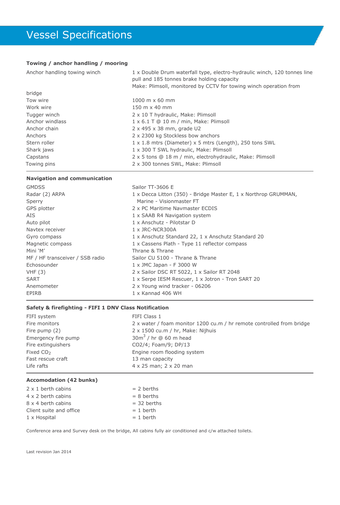#### **Towing / anchor handling / mooring**

| Anchor handling towing winch | 1 x Double Drum waterfall type, electro-hydraulic winch, 120 tonnes line<br>pull and 185 tonnes brake holding capacity<br>Make: Plimsoll, monitored by CCTV for towing winch operation from |  |  |  |  |  |  |  |
|------------------------------|---------------------------------------------------------------------------------------------------------------------------------------------------------------------------------------------|--|--|--|--|--|--|--|
|                              |                                                                                                                                                                                             |  |  |  |  |  |  |  |
|                              |                                                                                                                                                                                             |  |  |  |  |  |  |  |
| bridge                       |                                                                                                                                                                                             |  |  |  |  |  |  |  |
| Tow wire                     | 1000 m $\times$ 60 mm                                                                                                                                                                       |  |  |  |  |  |  |  |
| Work wire                    | $150 \text{ m} \times 40 \text{ mm}$                                                                                                                                                        |  |  |  |  |  |  |  |
| Tugger winch                 | 2 x 10 T hydraulic, Make: Plimsoll                                                                                                                                                          |  |  |  |  |  |  |  |
| Anchor windlass              | $1 \times 6.1$ T @ 10 m / min, Make: Plimsoll                                                                                                                                               |  |  |  |  |  |  |  |
| Anchor chain                 | 2 x 495 x 38 mm, grade U2                                                                                                                                                                   |  |  |  |  |  |  |  |
| Anchors                      | 2 x 2300 kg Stockless bow anchors                                                                                                                                                           |  |  |  |  |  |  |  |
| Stern roller                 | $1 \times 1.8$ mtrs (Diameter) $\times$ 5 mtrs (Length), 250 tons SWL                                                                                                                       |  |  |  |  |  |  |  |
| Shark jaws                   | 1 x 300 T SWL hydraulic, Make: Plimsoll                                                                                                                                                     |  |  |  |  |  |  |  |
| Capstans                     | 2 x 5 tons @ 18 m / min, electrohydraulic, Make: Plimsoll                                                                                                                                   |  |  |  |  |  |  |  |
| Towing pins                  | 2 x 300 tonnes SWL, Make: Plimsoll                                                                                                                                                          |  |  |  |  |  |  |  |

#### **Navigation and communication**

GMDSS Sailor TT-3606 E Radar (2) ARPA 1 x 1 x Decca Litton (350) - Bridge Master E, 1 x Northrop GRUMMAN, Sperry Marine - Visionmaster FT Auto pilot 1 x Anschutz - Pilotstar D Navtex receiver 1 x JRC-NCR300A Mini 'M' Thrane & Thrane Echosounder 1 x JMC Japan - F 3000 W EPIRB 1 x Kannad 406 WH

### GPS plotter **CCDIS** 2 x PC Maritime Navmaster ECDIS AIS 21 x SAAB R4 Navigation system Gyro compass 1 x Anschutz Standard 22, 1 x Anschutz Standard 20 Magnetic compass 1 x Cassens Plath - Type 11 reflector compass MF / HF transceiver / SSB radio Sailor CU 5100 - Thrane & Thrane VHF (3) 2 x Sailor DSC RT 5022, 1 x Sailor RT 2048 SART 1 x Serpe IESM Rescuer, 1 x Jotron - Tron SART 20 Anemometer 2 x Young wind tracker - 06206

#### **Safety & firefighting - FIFI 1 DNV Class Notification**

FIFI system FIFI Class 1 Fire monitors 2 x water / foam monitor 1200 cu.m / hr remote controlled from bridge Fire pump (2) 2 x 1500 cu.m / hr, Make: Nijhuis Emergency fire pump Fire extinguishers CO2/4; Foam/9; DP/13 Fixed CO<sub>2</sub> Engine room flooding system Fast rescue craft 13 man capacity Life rafts 4 x 25 man; 2 x 20 man

#### **Accomodation (42 bunks)**

| 2 x 1 berth cabins      | $= 2$ berths  |
|-------------------------|---------------|
| 4 x 2 berth cabins      | $= 8$ berths  |
| 8 x 4 berth cabins      | $=$ 32 berths |
| Client suite and office | $= 1$ berth   |
| 1 x Hospital            | $= 1$ berth   |

Conference area and Survey desk on the bridge, All cabins fully air conditioned and c/w attached toilets.

 $30<sup>3</sup>$  / hr @ 60 m head

Last revision Jan 2014